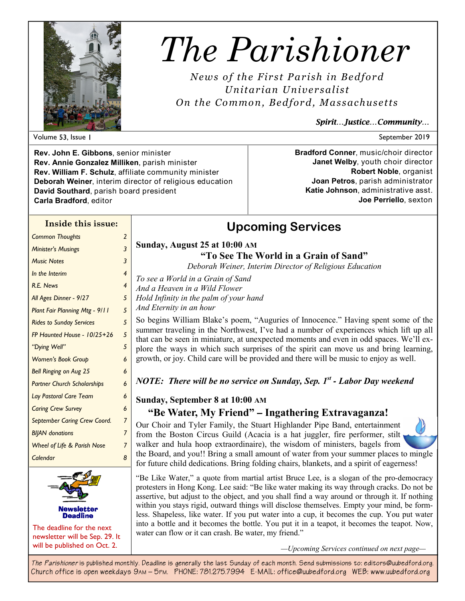

# *The Parishioner*

*News of the First Parish in Bedford Unitarian Unive rsalist On the Common, Bedfor d, Massachuse tts* 

*Spirit…Justice…Community…* 

Volume 53, Issue I and September 2019

**Rev. John E. Gibbons**, senior minister **Rev. Annie Gonzalez Milliken**, parish minister **Rev. William F. Schulz**, affiliate community minister **Deborah Weiner**, interim director of religious education **David Southard**, parish board president **Carla Bradford**, editor

**Bradford Conner**, music/choir director **Janet Welby**, youth choir director **Robert Noble**, organist **Joan Petros**, parish administrator **Katie Johnson**, administrative asst. **Joe Perriello**, sexton

# **Inside this issue:**

| <b>Common Thoughts</b>                 | $\overline{\mathbf{c}}$ |
|----------------------------------------|-------------------------|
| <b>Minister's Musings</b>              | 3                       |
| <b>Music Notes</b>                     | 3                       |
| In the Interim                         | $\overline{4}$          |
| <b>R.E. News</b>                       | $\overline{4}$          |
| All Ages Dinner - 9/27                 | 5                       |
| <b>Plant Fair Planning Mtg - 9/11</b>  | 5                       |
| <b>Rides to Sunday Services</b>        | 5                       |
| FP Haunted House - 10/25+26            | 5                       |
| "Dying Well"                           | 5                       |
| <b>Women's Book Group</b>              | 6                       |
| <b>Bell Ringing on Aug 25</b>          | 6                       |
| <b>Partner Church Scholarships</b>     | 6                       |
| <b>Lay Pastoral Care Team</b>          | 6                       |
| <b>Caring Crew Survey</b>              | 6                       |
| <b>September Caring Crew Coord.</b>    | 7                       |
| <b>BIJAN</b> donations                 | 7                       |
| <b>Wheel of Life &amp; Parish Nose</b> | 7                       |
| Calendar                               | 8                       |



The deadline for the next newsletter will be Sep. 29. It will be published on Oct. 2.

# **Upcoming Services**

**Sunday, August 25 at 10:00 AM "To See The World in a Grain of Sand"** *Deborah Weiner, Interim Director of Religious Education To see a World in a Grain of Sand And a Heaven in a Wild Flower Hold Infinity in the palm of your hand And Eternity in an hour*

So begins William Blake's poem, "Auguries of Innocence." Having spent some of the summer traveling in the Northwest, I've had a number of experiences which lift up all that can be seen in miniature, at unexpected moments and even in odd spaces. We'll explore the ways in which such surprises of the spirit can move us and bring learning, growth, or joy. Child care will be provided and there will be music to enjoy as well.

*NOTE: There will be no service on Sunday, Sep. 1st - Labor Day weekend*

# **Sunday, September 8 at 10:00 AM**

# **"Be Water, My Friend" – Ingathering Extravaganza!**

Our Choir and Tyler Family, the Stuart Highlander Pipe Band, entertainment from the Boston Circus Guild (Acacia is a hat juggler, fire performer, stilt walker and hula hoop extraordinaire), the wisdom of ministers, bagels from the Board, and you!! Bring a small amount of water from your summer places to mingle for future child dedications. Bring folding chairs, blankets, and a spirit of eagerness!

"Be Like Water," a quote from martial artist Bruce Lee, is a slogan of the pro-democracy protesters in Hong Kong. Lee said: "Be like water making its way through cracks. Do not be assertive, but adjust to the object, and you shall find a way around or through it. If nothing within you stays rigid, outward things will disclose themselves. Empty your mind, be formless. Shapeless, like water. If you put water into a cup, it becomes the cup. You put water into a bottle and it becomes the bottle. You put it in a teapot, it becomes the teapot. Now, water can flow or it can crash. Be water, my friend."

*—Upcoming Services continued on next page—* 

*The Parishioner* **is published monthly. Deadline is generally the last Sunday of each month. Send submissions to: editors@uubedford.org. Church office is open weekdays 9AM – 5PM. PHONE: 781.275.7994 E-MAIL: office@uubedford.org WEB: www.uubedford.org**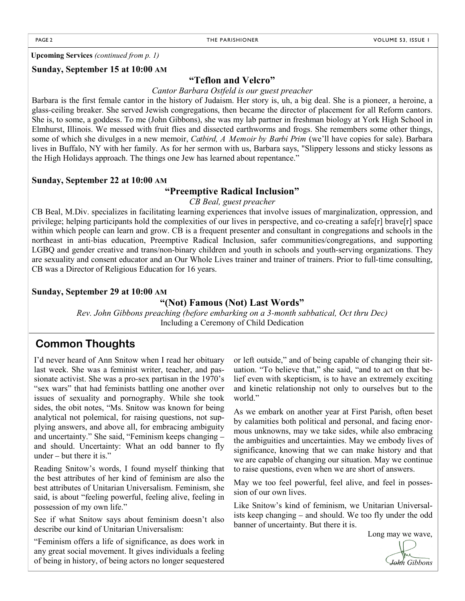**Upcoming Services** *(continued from p. 1)*

#### **Sunday, September 15 at 10:00 AM**

#### **"Teflon and Velcro"**

#### *Cantor Barbara Ostfeld is our guest preacher*

Barbara is the first female cantor in the history of Judaism. Her story is, uh, a big deal. She is a pioneer, a heroine, a glass-ceiling breaker. She served Jewish congregations, then became the director of placement for all Reform cantors. She is, to some, a goddess. To me (John Gibbons), she was my lab partner in freshman biology at York High School in Elmhurst, Illinois. We messed with fruit flies and dissected earthworms and frogs. She remembers some other things, some of which she divulges in a new memoir, *Catbird, A Memoir by Barbi Prim* (we'll have copies for sale). Barbara lives in Buffalo, NY with her family. As for her sermon with us, Barbara says, "Slippery lessons and sticky lessons as the High Holidays approach. The things one Jew has learned about repentance."

#### **Sunday, September 22 at 10:00 AM**

#### **"Preemptive Radical Inclusion"**

*CB Beal, guest preacher*

CB Beal, M.Div. specializes in facilitating learning experiences that involve issues of marginalization, oppression, and privilege; helping participants hold the complexities of our lives in perspective, and co-creating a safe[r] brave[r] space within which people can learn and grow. CB is a frequent presenter and consultant in congregations and schools in the northeast in anti-bias education, Preemptive Radical Inclusion, safer communities/congregations, and supporting LGBQ and gender creative and trans/non-binary children and youth in schools and youth-serving organizations. They are sexuality and consent educator and an Our Whole Lives trainer and trainer of trainers. Prior to full-time consulting, CB was a Director of Religious Education for 16 years.

#### **Sunday, September 29 at 10:00 AM**

#### **"(Not) Famous (Not) Last Words"**

*Rev. John Gibbons preaching (before embarking on a 3-month sabbatical, Oct thru Dec)* Including a Ceremony of Child Dedication

# **Common Thoughts**

I'd never heard of Ann Snitow when I read her obituary last week. She was a feminist writer, teacher, and passionate activist. She was a pro-sex partisan in the 1970's "sex wars" that had feminists battling one another over issues of sexuality and pornography. While she took sides, the obit notes, "Ms. Snitow was known for being analytical not polemical, for raising questions, not supplying answers, and above all, for embracing ambiguity and uncertainty." She said, "Feminism keeps changing – and should. Uncertainty: What an odd banner to fly under – but there it is."

Reading Snitow's words, I found myself thinking that the best attributes of her kind of feminism are also the best attributes of Unitarian Universalism. Feminism, she said, is about "feeling powerful, feeling alive, feeling in possession of my own life."

See if what Snitow says about feminism doesn't also describe our kind of Unitarian Universalism:

"Feminism offers a life of significance, as does work in any great social movement. It gives individuals a feeling of being in history, of being actors no longer sequestered

or left outside," and of being capable of changing their situation. "To believe that," she said, "and to act on that belief even with skepticism, is to have an extremely exciting and kinetic relationship not only to ourselves but to the world."

As we embark on another year at First Parish, often beset by calamities both political and personal, and facing enormous unknowns, may we take sides, while also embracing the ambiguities and uncertainties. May we embody lives of significance, knowing that we can make history and that we are capable of changing our situation. May we continue to raise questions, even when we are short of answers.

May we too feel powerful, feel alive, and feel in possession of our own lives.

Like Snitow's kind of feminism, we Unitarian Universalists keep changing – and should. We too fly under the odd banner of uncertainty. But there it is.

Long may we wave,

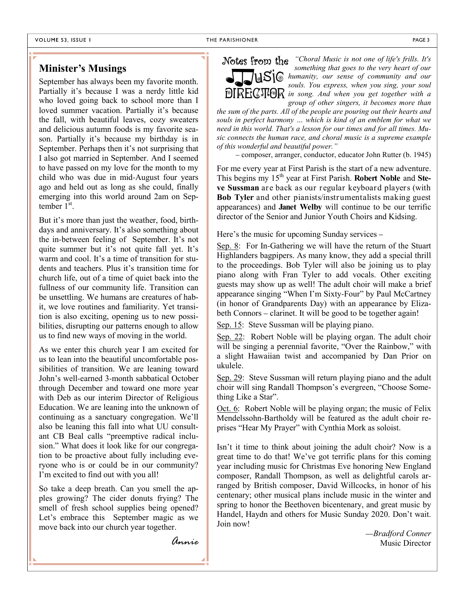# **Minister's Musings**

September has always been my favorite month. Partially it's because I was a nerdy little kid who loved going back to school more than I loved summer vacation. Partially it's because the fall, with beautiful leaves, cozy sweaters and delicious autumn foods is my favorite season. Partially it's because my birthday is in September. Perhaps then it's not surprising that I also got married in September. And I seemed to have passed on my love for the month to my child who was due in mid-August four years ago and held out as long as she could, finally emerging into this world around 2am on September  $1<sup>st</sup>$ .

But it's more than just the weather, food, birthdays and anniversary. It's also something about the in-between feeling of September. It's not quite summer but it's not quite fall yet. It's warm and cool. It's a time of transition for students and teachers. Plus it's transition time for church life, out of a time of quiet back into the fullness of our community life. Transition can be unsettling. We humans are creatures of habit, we love routines and familiarity. Yet transition is also exciting, opening us to new possibilities, disrupting our patterns enough to allow us to find new ways of moving in the world.

As we enter this church year I am excited for us to lean into the beautiful uncomfortable possibilities of transition. We are leaning toward John's well-earned 3-month sabbatical October through December and toward one more year with Deb as our interim Director of Religious Education. We are leaning into the unknown of continuing as a sanctuary congregation. We'll also be leaning this fall into what UU consultant CB Beal calls "preemptive radical inclusion." What does it look like for our congregation to be proactive about fully including everyone who is or could be in our community? I'm excited to find out with you all!

So take a deep breath. Can you smell the apples growing? The cider donuts frying? The smell of fresh school supplies being opened? Let's embrace this September magic as we move back into our church year together.



*"Choral Music is not one of life's frills. It's something that goes to the very heart of our humanity, our sense of community and our souls. You express, when you sing, your soul in song. And when you get together with a group of other singers, it becomes more than* 

*the sum of the parts. All of the people are pouring out their hearts and souls in perfect harmony … which is kind of an emblem for what we need in this world. That's a lesson for our times and for all times. Music connects the human race, and choral music is a supreme example of this wonderful and beautiful power."*

– composer, arranger, conductor, educator John Rutter (b. 1945)

For me every year at First Parish is the start of a new adventure. This begins my 15<sup>th</sup> year at First Parish. **Robert Noble** and Ste**ve Sussman** are back as our regular keyboard players (with **Bob Tyler** and other pianists/instrumentalists making guest appearances) and **Janet Welby** will continue to be our terrific director of the Senior and Junior Youth Choirs and Kidsing.

Here's the music for upcoming Sunday services –

Sep. 8: For In-Gathering we will have the return of the Stuart Highlanders bagpipers. As many know, they add a special thrill to the proceedings. Bob Tyler will also be joining us to play piano along with Fran Tyler to add vocals. Other exciting guests may show up as well! The adult choir will make a brief appearance singing "When I'm Sixty-Four" by Paul McCartney (in honor of Grandparents Day) with an appearance by Elizabeth Connors – clarinet. It will be good to be together again!

Sep. 15: Steve Sussman will be playing piano.

Sep. 22: Robert Noble will be playing organ. The adult choir will be singing a perennial favorite, "Over the Rainbow," with a slight Hawaiian twist and accompanied by Dan Prior on ukulele.

Sep. 29: Steve Sussman will return playing piano and the adult choir will sing Randall Thompson's evergreen, "Choose Something Like a Star".

Oct. 6: Robert Noble will be playing organ; the music of Felix Mendelssohn-Bartholdy will be featured as the adult choir reprises "Hear My Prayer" with Cynthia Mork as soloist.

Isn't it time to think about joining the adult choir? Now is a great time to do that! We've got terrific plans for this coming year including music for Christmas Eve honoring New England composer, Randall Thompson, as well as delightful carols arranged by British composer, David Willcocks, in honor of his centenary; other musical plans include music in the winter and spring to honor the Beethoven bicentenary, and great music by Handel, Haydn and others for Music Sunday 2020. Don't wait. Join now!

> *—Bradford Conner* Music Director

*Annie*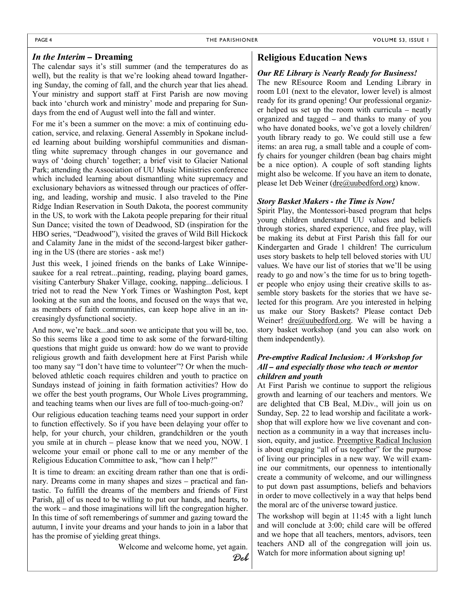#### *In the Interim –* **Dreaming**

The calendar says it's still summer (and the temperatures do as well), but the reality is that we're looking ahead toward Ingathering Sunday, the coming of fall, and the church year that lies ahead. Your ministry and support staff at First Parish are now moving back into 'church work and ministry' mode and preparing for Sundays from the end of August well into the fall and winter.

For me it's been a summer on the move: a mix of continuing education, service, and relaxing. General Assembly in Spokane included learning about building worshipful communities and dismantling white supremacy through changes in our governance and ways of 'doing church' together; a brief visit to Glacier National Park; attending the Association of UU Music Ministries conference which included learning about dismantling white supremacy and exclusionary behaviors as witnessed through our practices of offering, and leading, worship and music. I also traveled to the Pine Ridge Indian Reservation in South Dakota, the poorest community in the US, to work with the Lakota people preparing for their ritual Sun Dance; visited the town of Deadwood, SD (inspiration for the HBO series, "Deadwood"), visited the graves of Wild Bill Hickock and Calamity Jane in the midst of the second-largest biker gathering in the US (there are stories - ask me!)

Just this week, I joined friends on the banks of Lake Winnipesaukee for a real retreat...painting, reading, playing board games, visiting Canterbury Shaker Village, cooking, napping...delicious. I tried not to read the New York Times or Washington Post, kept looking at the sun and the loons, and focused on the ways that we, as members of faith communities, can keep hope alive in an increasingly dysfunctional society.

And now, we're back...and soon we anticipate that you will be, too. So this seems like a good time to ask some of the forward-tilting questions that might guide us onward: how do we want to provide religious growth and faith development here at First Parish while too many say "I don't have time to volunteer"? Or when the muchbeloved athletic coach requires children and youth to practice on Sundays instead of joining in faith formation activities? How do we offer the best youth programs, Our Whole Lives programming, and teaching teams when our lives are full of too-much-going-on?

Our religious education teaching teams need your support in order to function effectively. So if you have been delaying your offer to help, for your church, your children, grandchildren or the youth you smile at in church – please know that we need you, NOW. I welcome your email or phone call to me or any member of the Religious Education Committee to ask, "how can I help?"

It is time to dream: an exciting dream rather than one that is ordinary. Dreams come in many shapes and sizes – practical and fantastic. To fulfill the dreams of the members and friends of First Parish, all of us need to be willing to put our hands, and hearts, to the work – and those imaginations will lift the congregation higher. In this time of soft rememberings of summer and gazing toward the autumn, I invite your dreams and your hands to join in a labor that has the promise of yielding great things.

Welcome and welcome home, yet again.

*Deb* 

#### **Religious Education News**

#### *Our RE Library is Nearly Ready for Business!*

The new REsource Room and Lending Library in room L01 (next to the elevator, lower level) is almost ready for its grand opening! Our professional organizer helped us set up the room with curricula – neatly organized and tagged – and thanks to many of you who have donated books, we've got a lovely children/ youth library ready to go. We could still use a few items: an area rug, a small table and a couple of comfy chairs for younger children (bean bag chairs might be a nice option). A couple of soft standing lights might also be welcome. If you have an item to donate, please let Deb Weiner (dre@uubedford.org) know.

#### *Story Basket Makers - the Time is Now!*

Spirit Play, the Montessori-based program that helps young children understand UU values and beliefs through stories, shared experience, and free play, will be making its debut at First Parish this fall for our Kindergarten and Grade 1 children! The curriculum uses story baskets to help tell beloved stories with UU values. We have our list of stories that we'll be using ready to go and now's the time for us to bring together people who enjoy using their creative skills to assemble story baskets for the stories that we have selected for this program. Are you interested in helping us make our Story Baskets? Please contact Deb Weiner! dre@uubedford.org. We will be having a story basket workshop (and you can also work on them independently).

#### *Pre-emptive Radical Inclusion: A Workshop for All – and especially those who teach or mentor children and youth*

At First Parish we continue to support the religious growth and learning of our teachers and mentors. We are delighted that CB Beal, M.Div., will join us on Sunday, Sep. 22 to lead worship and facilitate a workshop that will explore how we live covenant and connection as a community in a way that increases inclusion, equity, and justice. Preemptive Radical Inclusion is about engaging "all of us together" for the purpose of living our principles in a new way. We will examine our commitments, our openness to intentionally create a community of welcome, and our willingness to put down past assumptions, beliefs and behaviors in order to move collectively in a way that helps bend the moral arc of the universe toward justice.

The workshop will begin at 11:45 with a light lunch and will conclude at 3:00; child care will be offered and we hope that all teachers, mentors, advisors, teen teachers AND all of the congregation will join us. Watch for more information about signing up!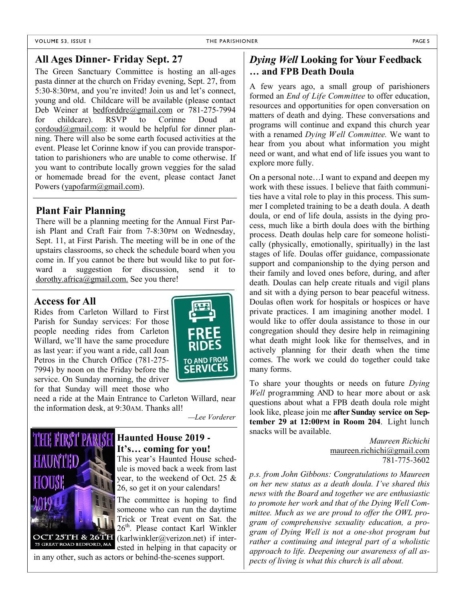# **All Ages Dinner- Friday Sept. 27**

The Green Sanctuary Committee is hosting an all-ages pasta dinner at the church on Friday evening, Sept. 27, from 5:30-8:30PM, and you're invited! Join us and let's connect, young and old. Childcare will be available (please contact Deb Weiner at bedforddre@gmail.com or 781-275-7994 for childcare). RSVP to Corinne Doud at  $cordoud@gmail.com$ : it would be helpful for dinner planning. There will also be some earth focused activities at the event. Please let Corinne know if you can provide transportation to parishioners who are unable to come otherwise. If you want to contribute locally grown veggies for the salad or homemade bread for the event, please contact Janet Powers (yapofarm@gmail.com).

# **Plant Fair Planning**

There will be a planning meeting for the Annual First Parish Plant and Craft Fair from 7-8:30PM on Wednesday, Sept. 11, at First Parish. The meeting will be in one of the upstairs classrooms, so check the schedule board when you come in. If you cannot be there but would like to put forward a suggestion for discussion, send it to dorothy.africa@gmail.com. See you there!

#### **Access for All**

Rides from Carleton Willard to First Parish for Sunday services: For those people needing rides from Carleton Willard, we'll have the same procedure as last year: if you want a ride, call Joan Petros in the Church Office (781-275- 7994) by noon on the Friday before the service. On Sunday morning, the driver for that Sunday will meet those who



need a ride at the Main Entrance to Carleton Willard, near the information desk, at 9:30AM. Thanks all!

*—Lee Vorderer*



# **Haunted House 2019 - It's… coming for you!**

This year's Haunted House schedule is moved back a week from last year, to the weekend of Oct. 25 & 26, so get it on your calendars!

The committee is hoping to find someone who can run the daytime Trick or Treat event on Sat. the  $26<sup>th</sup>$ . Please contact Karl Winkler (karlwinkler@verizon.net) if interested in helping in that capacity or

in any other, such as actors or behind-the-scenes support.

# *Dying Well* **Looking for Your Feedback … and FPB Death Doula**

A few years ago, a small group of parishioners formed an *End of Life Committee* to offer education, resources and opportunities for open conversation on matters of death and dying. These conversations and programs will continue and expand this church year with a renamed *Dying Well Committee.* We want to hear from you about what information you might need or want, and what end of life issues you want to explore more fully.

On a personal note…I want to expand and deepen my work with these issues. I believe that faith communities have a vital role to play in this process. This summer I completed training to be a death doula. A death doula, or end of life doula, assists in the dying process, much like a birth doula does with the birthing process. Death doulas help care for someone holistically (physically, emotionally, spiritually) in the last stages of life. Doulas offer guidance, compassionate support and companionship to the dying person and their family and loved ones before, during, and after death. Doulas can help create rituals and vigil plans and sit with a dying person to bear peaceful witness. Doulas often work for hospitals or hospices or have private practices. I am imagining another model. I would like to offer doula assistance to those in our congregation should they desire help in reimagining what death might look like for themselves, and in actively planning for their death when the time comes. The work we could do together could take many forms.

To share your thoughts or needs on future *Dying Well* programming AND to hear more about or ask questions about what a FPB death doula role might look like, please join me **after Sunday service on September 29 at 12:00PM in Room 204**. Light lunch snacks will be available.

> *Maureen Richichi* maureen.richichi@gmail.com 781-775-3602

*p.s. from John Gibbons: Congratulations to Maureen on her new status as a death doula. I've shared this news with the Board and together we are enthusiastic to promote her work and that of the Dying Well Committee. Much as we are proud to offer the OWL program of comprehensive sexuality education, a program of Dying Well is not a one-shot program but rather a continuing and integral part of a wholistic approach to life. Deepening our awareness of all aspects of living is what this church is all about.*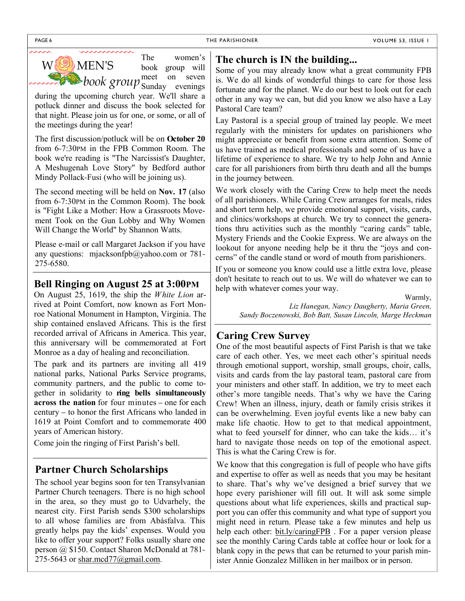

Partner Church teenagers. There is no high school in the area, so they must go to Udvarhely, the nearest city. First Parish sends \$300 scholarships to all whose families are from Abásfalva. This greatly helps pay the kids' expenses. Would you like to offer your support? Folks usually share one person @ \$150. Contact Sharon McDonald at 781- 275-5643 or shar.mcd77@gmail.com.

# **The church is IN the building...**

Some of you may already know what a great community FPB is. We do all kinds of wonderful things to care for those less fortunate and for the planet. We do our best to look out for each other in any way we can, but did you know we also have a Lay Pastoral Care team?

Lay Pastoral is a special group of trained lay people. We meet regularly with the ministers for updates on parishioners who might appreciate or benefit from some extra attention. Some of us have trained as medical professionals and some of us have a lifetime of experience to share. We try to help John and Annie care for all parishioners from birth thru death and all the bumps in the journey between.

We work closely with the Caring Crew to help meet the needs of all parishioners. While Caring Crew arranges for meals, rides and short term help, we provide emotional support, visits, cards, and clinics/workshops at church. We try to connect the generations thru activities such as the monthly "caring cards" table, Mystery Friends and the Cookie Express. We are always on the lookout for anyone needing help be it thru the "joys and concerns" of the candle stand or word of mouth from parishioners.

If you or someone you know could use a little extra love, please don't hesitate to reach out to us. We will do whatever we can to help with whatever comes your way.

Warmly,

*Liz Hanegan, Nancy Daugherty, Maria Green, Sandy Boczenowski, Bob Batt, Susan Lincoln, Marge Heckman*

# **Caring Crew Survey**

One of the most beautiful aspects of First Parish is that we take care of each other. Yes, we meet each other's spiritual needs through emotional support, worship, small groups, choir, calls, visits and cards from the lay pastoral team, pastoral care from your ministers and other staff. In addition, we try to meet each other's more tangible needs. That's why we have the Caring Crew! When an illness, injury, death or family crisis strikes it can be overwhelming. Even joyful events like a new baby can make life chaotic. How to get to that medical appointment, what to feed yourself for dinner, who can take the kids… it's hard to navigate those needs on top of the emotional aspect. This is what the Caring Crew is for.

We know that this congregation is full of people who have gifts and expertise to offer as well as needs that you may be hesitant to share. That's why we've designed a brief survey that we hope every parishioner will fill out. It will ask some simple questions about what life experiences, skills and practical support you can offer this community and what type of support you might need in return. Please take a few minutes and help us help each other: **bit.ly/caringFPB**. For a paper version please see the monthly Caring Cards table at coffee hour or look for a blank copy in the pews that can be returned to your parish minister Annie Gonzalez Milliken in her mailbox or in person.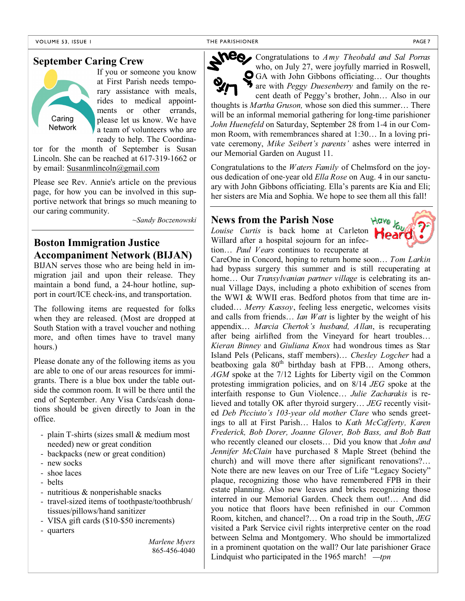#### **September Caring Crew**



If you or someone you know at First Parish needs temporary assistance with meals, rides to medical appointments or other errands, please let us know. We have a team of volunteers who are ready to help. The Coordina-

tor for the month of September is Susan Lincoln. She can be reached at 617-319-1662 or by email: Susanmlincoln@gmail.com

Please see Rev. Annie's article on the previous page, for how you can be involved in this supportive network that brings so much meaning to our caring community.

*~Sandy Boczenowski* 

# **Boston Immigration Justice Accompaniment Network (BIJAN)**

BIJAN serves those who are being held in immigration jail and upon their release. They maintain a bond fund, a 24-hour hotline, support in court/ICE check-ins, and transportation.

The following items are requested for folks when they are released. (Most are dropped at South Station with a travel voucher and nothing more, and often times have to travel many hours.)

Please donate any of the following items as you are able to one of our areas resources for immigrants. There is a blue box under the table outside the common room. It will be there until the end of September. Any Visa Cards/cash donations should be given directly to Joan in the office.

- plain T-shirts (sizes small & medium most needed) new or great condition
- backpacks (new or great condition)
- new socks
- shoe laces
- belts
- nutritious & nonperishable snacks
- travel-sized items of toothpaste/toothbrush/ tissues/pillows/hand sanitizer
- VISA gift cards (\$10-\$50 increments)
- quarters

*Marlene Myers* 865-456-4040 Congratulations to *Amy Theobald and Sal Porras* who, on July 27, were joyfully married in Roswell, GA with John Gibbons officiating… Our thoughts are with *Peggy Duesenberry* and family on the recent death of Peggy's brother, John… Also in our

thoughts is *Martha Gruson,* whose son died this summer… There will be an informal memorial gathering for long-time parishioner *John Huenefeld* on Saturday, September 28 from 1-4 in our Common Room, with remembrances shared at 1:30… In a loving private ceremony, *Mike Seibert's parents'* ashes were interred in our Memorial Garden on August 11.

Congratulations to the *Waters Family* of Chelmsford on the joyous dedication of one-year old *Ella Rose* on Aug. 4 in our sanctuary with John Gibbons officiating. Ella's parents are Kia and Eli; her sisters are Mia and Sophia. We hope to see them all this fall!

#### **News from the Parish Nose**

*Louise Curtis* is back home at Carleton Willard after a hospital sojourn for an infection… *Paul Vears* continues to recuperate at



CareOne in Concord, hoping to return home soon… *Tom Larkin* had bypass surgery this summer and is still recuperating at home... Our *Transylvanian partner village* is celebrating its annual Village Days, including a photo exhibition of scenes from the WWI & WWII eras. Bedford photos from that time are included… *Merry Kassoy*, feeling less energetic, welcomes visits and calls from friends… *Ian Watt* is lighter by the weight of his appendix… *Marcia Chertok's husband, Allan*, is recuperating after being airlifted from the Vineyard for heart troubles… *Kieran Binney* and *Giuliana Knox* had wondrous times as Star Island Pels (Pelicans, staff members)… *Chesley Logcher* had a beatboxing gala  $80^{th}$  birthday bash at FPB... Among others, *AGM* spoke at the 7/12 Lights for Liberty vigil on the Common protesting immigration policies, and on 8/14 *JEG* spoke at the interfaith response to Gun Violence… *Julie Zacharakis* is relieved and totally OK after thyroid surgery… *JEG* recently visited *Deb Picciuto's 103-year old mother Clare* who sends greetings to all at First Parish… Halos to *Kath McCafferty, Karen Frederick, Bob Dorer, Joanne Glover, Bob Bass, and Bob Batt*  who recently cleaned our closets… Did you know that *John and Jennifer McClain* have purchased 8 Maple Street (behind the church) and will move there after significant renovations?… Note there are new leaves on our Tree of Life "Legacy Society" plaque, recognizing those who have remembered FPB in their estate planning. Also new leaves and bricks recognizing those interred in our Memorial Garden. Check them out!… And did you notice that floors have been refinished in our Common Room, kitchen, and chancel?… On a road trip in the South, *JEG* visited a Park Service civil rights interpretive center on the road between Selma and Montgomery. Who should be immortalized in a prominent quotation on the wall? Our late parishioner Grace Lindquist who participated in the 1965 march! *—tpn*